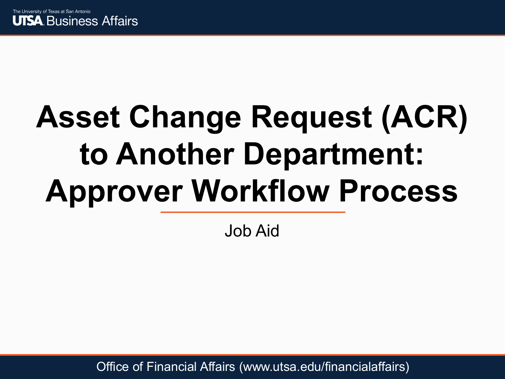

# **Asset Change Request (ACR) to Another Department: Approver Workflow Process**

Job Aid

Office of Financial Affairs (www.utsa.edu/financialaffairs)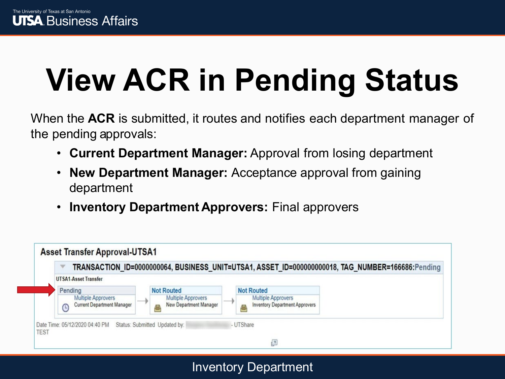# **View ACR in Pending Status**

When the **ACR** is submitted, it routes and notifies each department manager of the pending approvals:

- **Current Department Manager:** Approval from losing department
- **New Department Manager:** Acceptance approval from gaining department
- **Inventory Department Approvers:** Final approvers



Inventory Department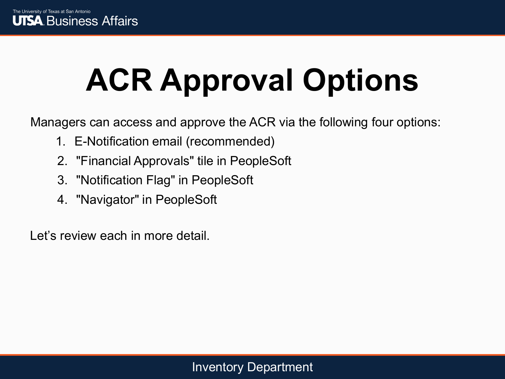# **ACR Approval Options**

Managers can access and approve the ACR via the following four options:

- 1. E-Notification email (recommended)
- 2. "Financial Approvals" tile in PeopleSoft
- 3. "Notification Flag" in PeopleSoft
- 4. "Navigator" in PeopleSoft

Let's review each in more detail.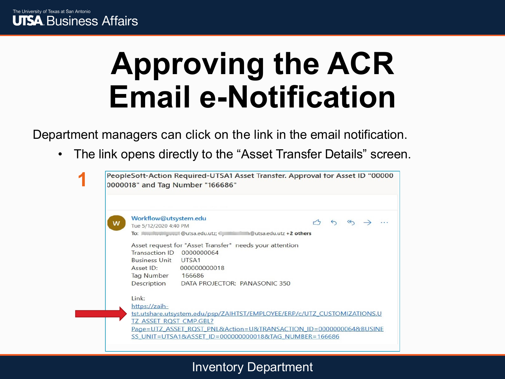### **Approving the ACR Email e-Notification**

Department managers can click on the link in the email notification.

• The link opens directly to the "Asset Transfer Details" screen.



#### Inventory Department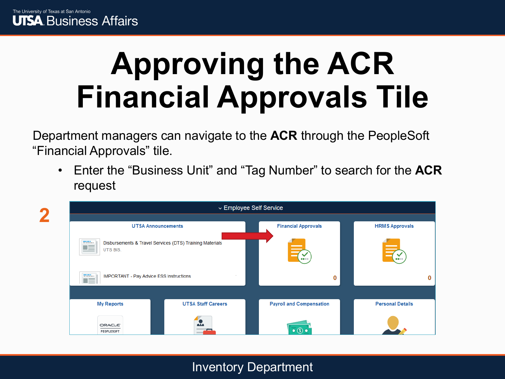## **Approving the ACR Financial Approvals Tile**

Department managers can navigate to the **ACR** through the PeopleSoft "Financial Approvals" tile.

• Enter the "Business Unit" and "Tag Number" to search for the **ACR** request

| $\mathcal{L}$ |                                                        |                                                          | ▽ Employee Self Service         |                         |  |
|---------------|--------------------------------------------------------|----------------------------------------------------------|---------------------------------|-------------------------|--|
|               |                                                        | <b>UTSA Announcements</b>                                | <b>Financial Approvals</b>      | <b>HRMS Approvals</b>   |  |
|               | <u>man</u><br>--<br>트<br>UTS BIS.                      | Disbursements & Travel Services (DTS) Training Materials | <b>A 8 1 1 1</b>                | .                       |  |
|               | mans.<br>IMPORTANT - Pay Advice ESS Instructions<br>∎≡ |                                                          | 0                               | 0                       |  |
|               |                                                        |                                                          |                                 |                         |  |
|               | <b>My Reports</b>                                      | <b>UTSA Staff Careers</b>                                | <b>Payroll and Compensation</b> | <b>Personal Details</b> |  |
|               | ORACLE <sup>®</sup><br>PEOPLESOFT                      | <u></u>                                                  | $\bullet$ $\circ$               |                         |  |

#### Inventory Department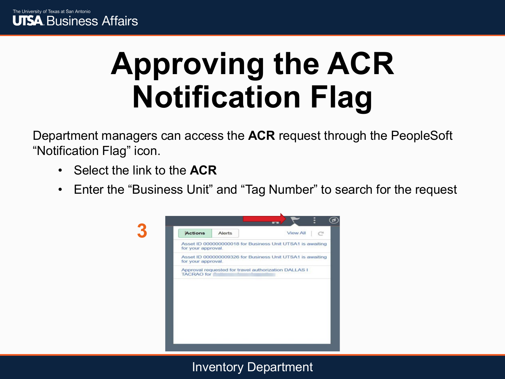## **Approving the ACR Notification Flag**

Department managers can access the **ACR** request through the PeopleSoft "Notification Flag" icon.

- Select the link to the **ACR**
- Enter the "Business Unit" and "Tag Number" to search for the request



Inventory Department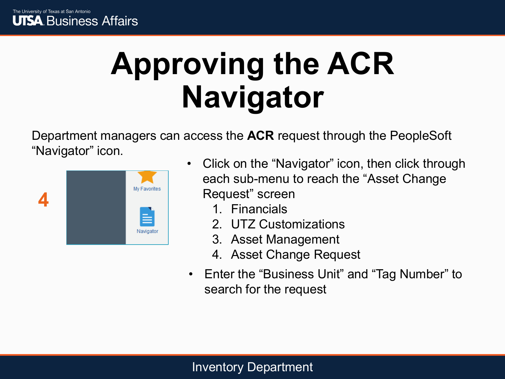### **Approving the ACR Navigator**

Department managers can access the **ACR** request through the PeopleSoft "Navigator" icon.



- Click on the "Navigator" icon, then click through each sub-menu to reach the "Asset Change Request" screen
	- 1. Financials
	- 2. UTZ Customizations
	- 3. Asset Management
	- 4. Asset Change Request
- Enter the "Business Unit" and "Tag Number" to search for the request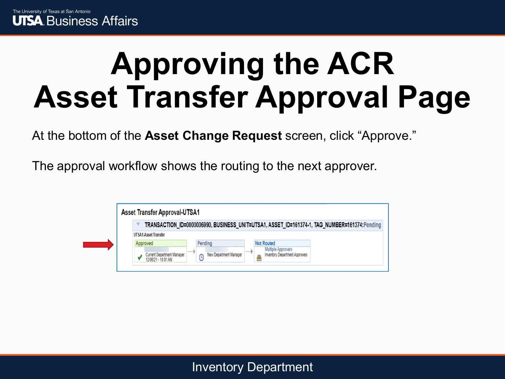Г

## **Approving the ACR Asset Transfer Approval Page**

At the bottom of the **Asset Change Request** screen, click "Approve."

The approval workflow shows the routing to the next approver.

|                                                   |                        | TRANSACTION_ID=0000006990, BUSINESS_UNIT=UTSA1, ASSET_ID=161374-1, TAG_NUMBER=161374:Pending |  |
|---------------------------------------------------|------------------------|----------------------------------------------------------------------------------------------|--|
| <b>UTSA1-Asset Transfer</b>                       |                        |                                                                                              |  |
| Approved                                          | Pending                | <b>Not Routed</b>                                                                            |  |
| Current Department Manager<br>12/06/21 - 10:01 AM | New Department Manager | Multiple Approvers<br><b>Inventory Department Approvers</b>                                  |  |